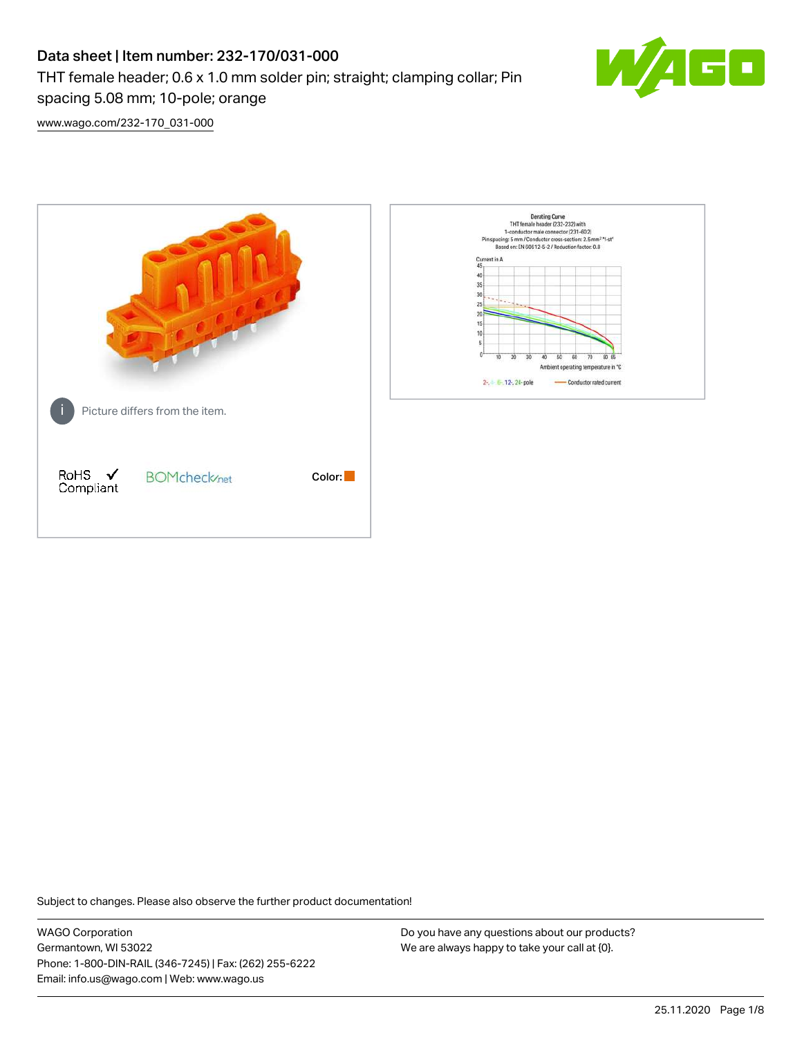# Data sheet | Item number: 232-170/031-000 THT female header; 0.6 x 1.0 mm solder pin; straight; clamping collar; Pin spacing 5.08 mm; 10-pole; orange



[www.wago.com/232-170\\_031-000](http://www.wago.com/232-170_031-000)



Subject to changes. Please also observe the further product documentation!

WAGO Corporation Germantown, WI 53022 Phone: 1-800-DIN-RAIL (346-7245) | Fax: (262) 255-6222 Email: info.us@wago.com | Web: www.wago.us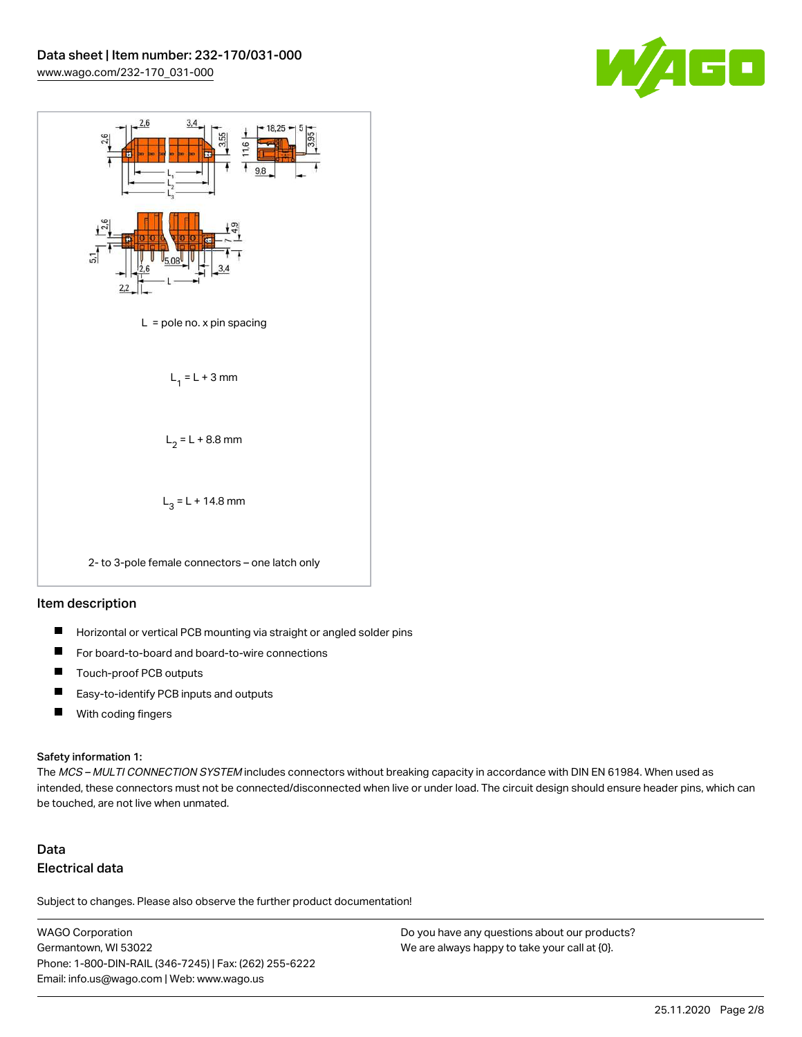



#### Item description

- $\blacksquare$ Horizontal or vertical PCB mounting via straight or angled solder pins
- П For board-to-board and board-to-wire connections
- $\blacksquare$ Touch-proof PCB outputs
- $\blacksquare$ Easy-to-identify PCB inputs and outputs
- $\blacksquare$ With coding fingers

#### Safety information 1:

The MCS - MULTI CONNECTION SYSTEM includes connectors without breaking capacity in accordance with DIN EN 61984. When used as intended, these connectors must not be connected/disconnected when live or under load. The circuit design should ensure header pins, which can be touched, are not live when unmated.

## Data Electrical data

Subject to changes. Please also observe the further product documentation!

WAGO Corporation Germantown, WI 53022 Phone: 1-800-DIN-RAIL (346-7245) | Fax: (262) 255-6222 Email: info.us@wago.com | Web: www.wago.us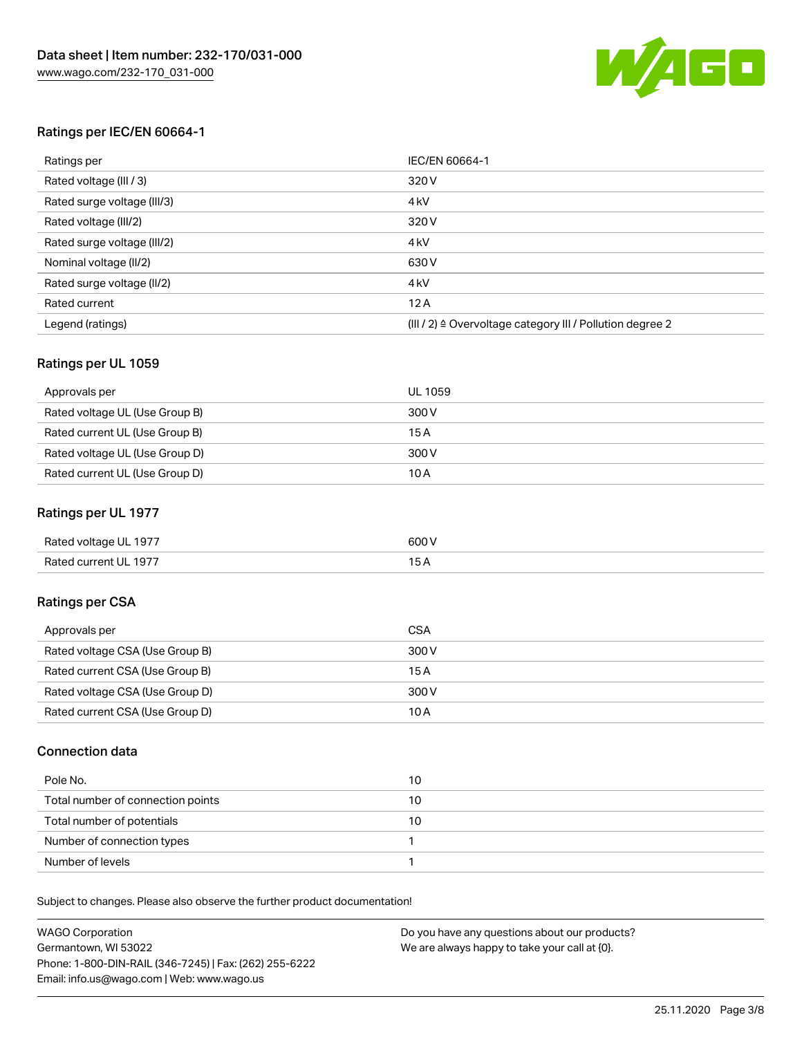

#### Ratings per IEC/EN 60664-1

| Ratings per                 | IEC/EN 60664-1                                                        |
|-----------------------------|-----------------------------------------------------------------------|
| Rated voltage (III / 3)     | 320 V                                                                 |
| Rated surge voltage (III/3) | 4 <sub>k</sub> V                                                      |
| Rated voltage (III/2)       | 320 V                                                                 |
| Rated surge voltage (III/2) | 4 <sub>k</sub> V                                                      |
| Nominal voltage (II/2)      | 630 V                                                                 |
| Rated surge voltage (II/2)  | 4 <sub>k</sub> V                                                      |
| Rated current               | 12A                                                                   |
| Legend (ratings)            | $(III / 2)$ $\triangle$ Overvoltage category III / Pollution degree 2 |

#### Ratings per UL 1059

| Approvals per                  | UL 1059 |
|--------------------------------|---------|
| Rated voltage UL (Use Group B) | 300 V   |
| Rated current UL (Use Group B) | 15 A    |
| Rated voltage UL (Use Group D) | 300 V   |
| Rated current UL (Use Group D) | 10A     |

#### Ratings per UL 1977

| Rated voltage UL 1977 | 600 <sup>V</sup><br>. |
|-----------------------|-----------------------|
| Rated current UL 1977 |                       |

### Ratings per CSA

| Approvals per                   | CSA   |
|---------------------------------|-------|
| Rated voltage CSA (Use Group B) | 300 V |
| Rated current CSA (Use Group B) | 15 A  |
| Rated voltage CSA (Use Group D) | 300 V |
| Rated current CSA (Use Group D) | 10 A  |

#### Connection data

| Pole No.                          | 10 |
|-----------------------------------|----|
| Total number of connection points | 10 |
| Total number of potentials        | 10 |
| Number of connection types        |    |
| Number of levels                  |    |

Subject to changes. Please also observe the further product documentation!

| <b>WAGO Corporation</b>                                | Do you have any questions about our products? |
|--------------------------------------------------------|-----------------------------------------------|
| Germantown, WI 53022                                   | We are always happy to take your call at {0}. |
| Phone: 1-800-DIN-RAIL (346-7245)   Fax: (262) 255-6222 |                                               |
| Email: info.us@wago.com   Web: www.wago.us             |                                               |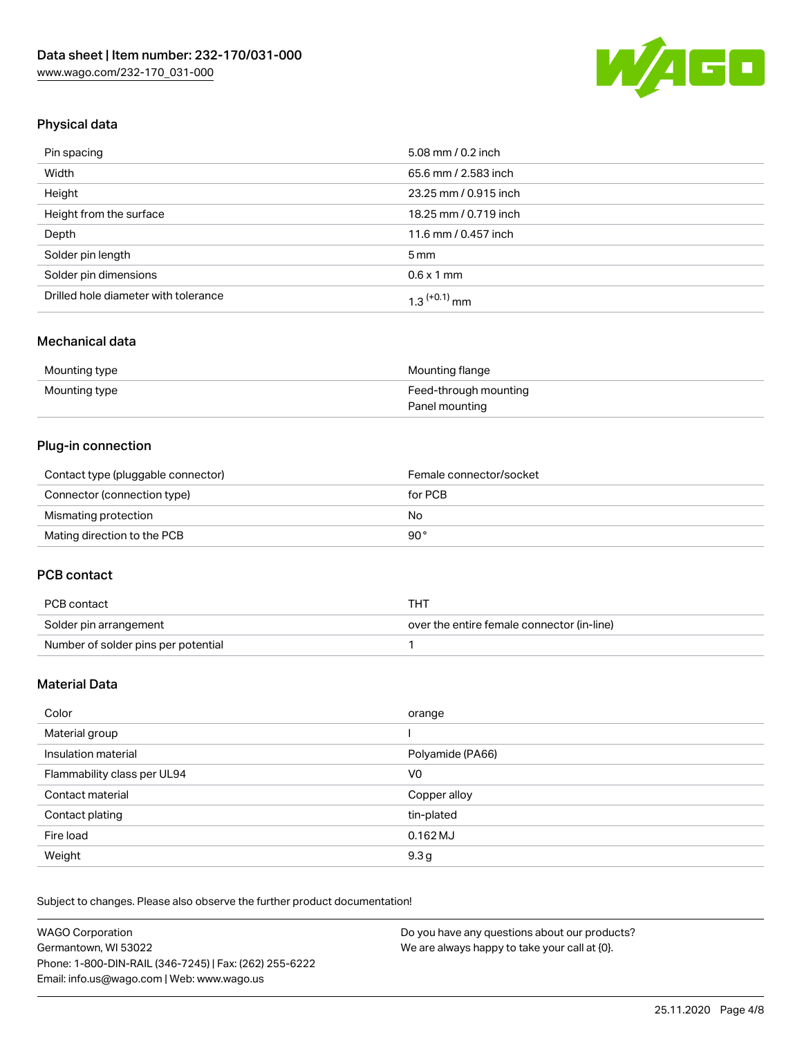

## Physical data

| Pin spacing                          | 5.08 mm / 0.2 inch    |
|--------------------------------------|-----------------------|
| Width                                | 65.6 mm / 2.583 inch  |
| Height                               | 23.25 mm / 0.915 inch |
| Height from the surface              | 18.25 mm / 0.719 inch |
| Depth                                | 11.6 mm / 0.457 inch  |
| Solder pin length                    | $5 \,\mathrm{mm}$     |
| Solder pin dimensions                | $0.6 \times 1$ mm     |
| Drilled hole diameter with tolerance | $1.3$ $(+0.1)$ mm     |

### Mechanical data

| Mounting type | Mounting flange       |
|---------------|-----------------------|
| Mounting type | Feed-through mounting |
|               | Panel mounting        |

### Plug-in connection

| Contact type (pluggable connector) | Female connector/socket |
|------------------------------------|-------------------------|
| Connector (connection type)        | for PCB                 |
| Mismating protection               | No                      |
| Mating direction to the PCB        | 90°                     |

#### PCB contact

| PCB contact                         | THT                                        |
|-------------------------------------|--------------------------------------------|
| Solder pin arrangement              | over the entire female connector (in-line) |
| Number of solder pins per potential |                                            |

## Material Data

| Color                       | orange           |
|-----------------------------|------------------|
| Material group              |                  |
| Insulation material         | Polyamide (PA66) |
| Flammability class per UL94 | V0               |
| Contact material            | Copper alloy     |
| Contact plating             | tin-plated       |
| Fire load                   | $0.162$ MJ       |
| Weight                      | 9.3 <sub>g</sub> |

Subject to changes. Please also observe the further product documentation!

| <b>WAGO Corporation</b>                                | Do you have any questions about our products? |
|--------------------------------------------------------|-----------------------------------------------|
| Germantown, WI 53022                                   | We are always happy to take your call at {0}. |
| Phone: 1-800-DIN-RAIL (346-7245)   Fax: (262) 255-6222 |                                               |
| Email: info.us@wago.com   Web: www.wago.us             |                                               |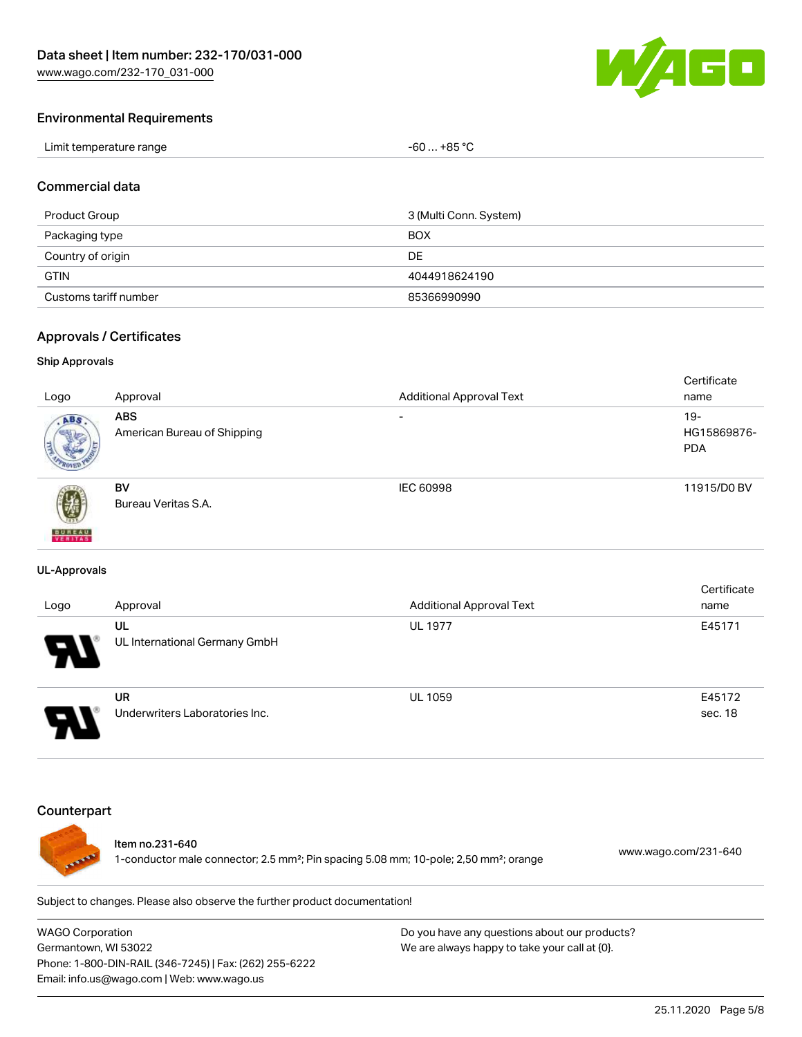

#### Environmental Requirements

| Limit temperature range | -60  +85 °Ր |
|-------------------------|-------------|
|-------------------------|-------------|

#### Commercial data

| Product Group         | 3 (Multi Conn. System) |
|-----------------------|------------------------|
| Packaging type        | <b>BOX</b>             |
| Country of origin     | DE                     |
| <b>GTIN</b>           | 4044918624190          |
| Customs tariff number | 85366990990            |

#### Approvals / Certificates

#### Ship Approvals

|                           |                             |                                 | Certificate |
|---------------------------|-----------------------------|---------------------------------|-------------|
| Logo                      | Approval                    | <b>Additional Approval Text</b> | name        |
| ABS.                      | <b>ABS</b>                  | $\overline{\phantom{a}}$        | $19 -$      |
|                           | American Bureau of Shipping |                                 | HG15869876- |
|                           |                             |                                 | <b>PDA</b>  |
|                           |                             |                                 |             |
|                           | <b>BV</b>                   | IEC 60998                       | 11915/D0 BV |
| 蓼                         | Bureau Veritas S.A.         |                                 |             |
|                           |                             |                                 |             |
| <b>BUREAU</b><br>VERITAST |                             |                                 |             |

#### UL-Approvals

| Logo                  | Approval                             | <b>Additional Approval Text</b> | Certificate<br>name |
|-----------------------|--------------------------------------|---------------------------------|---------------------|
| $\boldsymbol{\theta}$ | UL<br>UL International Germany GmbH  | <b>UL 1977</b>                  | E45171              |
|                       | UR<br>Underwriters Laboratories Inc. | <b>UL 1059</b>                  | E45172<br>sec. 18   |

### **Counterpart**



#### Item no.231-640

1-conductor male connector; 2.5 mm²; Pin spacing 5.08 mm; 10-pole; 2,50 mm²; orange [www.wago.com/231-640](https://www.wago.com/231-640)

Subject to changes. Please also observe the further product documentation!

WAGO Corporation Germantown, WI 53022 Phone: 1-800-DIN-RAIL (346-7245) | Fax: (262) 255-6222 Email: info.us@wago.com | Web: www.wago.us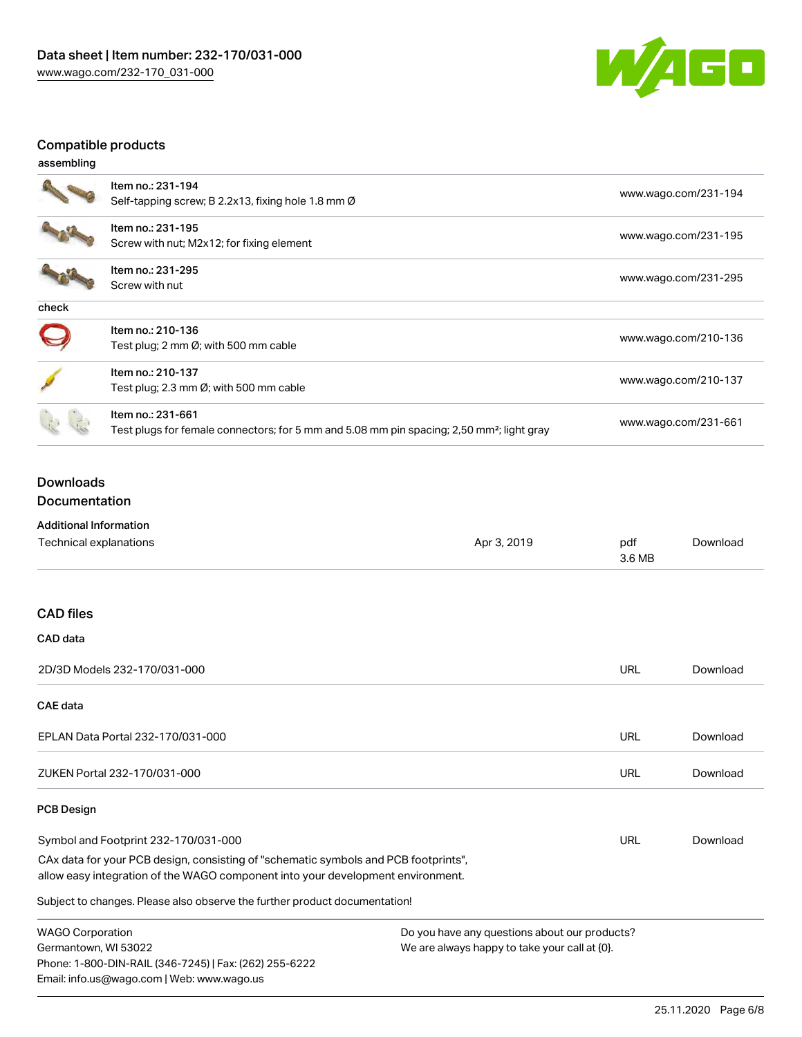

## Compatible products

| assembling |                                                                                                                            |                      |
|------------|----------------------------------------------------------------------------------------------------------------------------|----------------------|
|            | Item no.: 231-194<br>Self-tapping screw; B 2.2x13, fixing hole 1.8 mm Ø                                                    | www.wago.com/231-194 |
|            | Item no.: 231-195<br>Screw with nut; M2x12; for fixing element                                                             | www.wago.com/231-195 |
|            | Item no.: 231-295<br>Screw with nut                                                                                        | www.wago.com/231-295 |
| check      |                                                                                                                            |                      |
|            | Item no.: 210-136<br>Test plug; 2 mm $\varnothing$ ; with 500 mm cable                                                     | www.wago.com/210-136 |
|            | Item no.: 210-137<br>Test plug; 2.3 mm $\varnothing$ ; with 500 mm cable                                                   | www.wago.com/210-137 |
|            | Item no.: 231-661<br>Test plugs for female connectors; for 5 mm and 5.08 mm pin spacing; 2,50 mm <sup>2</sup> ; light gray | www.wago.com/231-661 |

## Downloads Documentation

Additional Information

Phone: 1-800-DIN-RAIL (346-7245) | Fax: (262) 255-6222

Email: info.us@wago.com | Web: www.wago.us

| Auuluvilai IIII viiliauvil                                                                                                                                             |                                               |               |          |
|------------------------------------------------------------------------------------------------------------------------------------------------------------------------|-----------------------------------------------|---------------|----------|
| Technical explanations                                                                                                                                                 | Apr 3, 2019                                   | pdf<br>3.6 MB | Download |
|                                                                                                                                                                        |                                               |               |          |
| <b>CAD files</b>                                                                                                                                                       |                                               |               |          |
| CAD data                                                                                                                                                               |                                               |               |          |
| 2D/3D Models 232-170/031-000                                                                                                                                           |                                               | URL           | Download |
| <b>CAE</b> data                                                                                                                                                        |                                               |               |          |
| EPLAN Data Portal 232-170/031-000                                                                                                                                      |                                               | URL           | Download |
| ZUKEN Portal 232-170/031-000                                                                                                                                           |                                               | URL           | Download |
| <b>PCB Design</b>                                                                                                                                                      |                                               |               |          |
| Symbol and Footprint 232-170/031-000                                                                                                                                   |                                               | URL           | Download |
| CAx data for your PCB design, consisting of "schematic symbols and PCB footprints",<br>allow easy integration of the WAGO component into your development environment. |                                               |               |          |
| Subject to changes. Please also observe the further product documentation!                                                                                             |                                               |               |          |
| <b>WAGO Corporation</b>                                                                                                                                                | Do you have any questions about our products? |               |          |
| Germantown, WI 53022                                                                                                                                                   | We are always happy to take your call at {0}. |               |          |

We are always happy to take your call at {0}.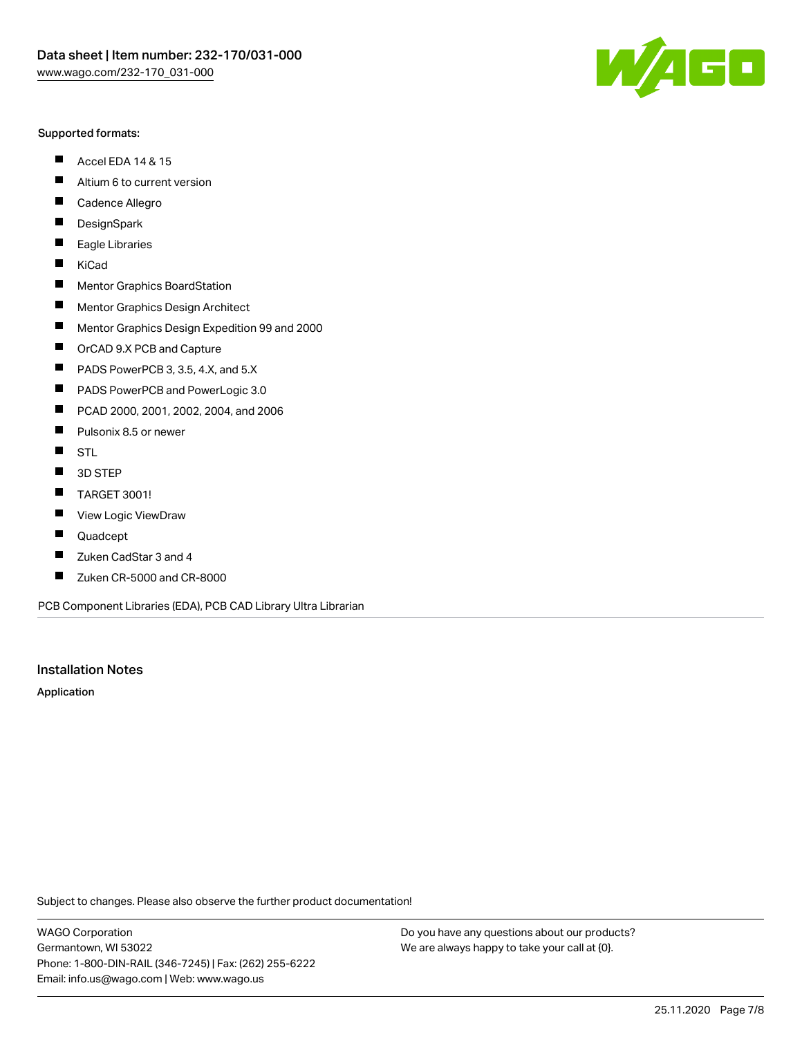#### Supported formats:

- $\blacksquare$ Accel EDA 14 & 15
- $\blacksquare$ Altium 6 to current version
- $\blacksquare$ Cadence Allegro
- $\blacksquare$ **DesignSpark**
- $\blacksquare$ Eagle Libraries
- $\blacksquare$ KiCad
- $\blacksquare$ Mentor Graphics BoardStation
- $\blacksquare$ Mentor Graphics Design Architect
- $\blacksquare$ Mentor Graphics Design Expedition 99 and 2000
- $\blacksquare$ OrCAD 9.X PCB and Capture
- $\blacksquare$ PADS PowerPCB 3, 3.5, 4.X, and 5.X
- $\blacksquare$ PADS PowerPCB and PowerLogic 3.0
- $\blacksquare$ PCAD 2000, 2001, 2002, 2004, and 2006
- $\blacksquare$ Pulsonix 8.5 or newer
- $\blacksquare$ STL
- 3D STEP П
- $\blacksquare$ TARGET 3001!
- $\blacksquare$ View Logic ViewDraw
- $\blacksquare$ Quadcept
- Zuken CadStar 3 and 4  $\blacksquare$
- Zuken CR-5000 and CR-8000 П

PCB Component Libraries (EDA), PCB CAD Library Ultra Librarian

#### Installation Notes

Application

Subject to changes. Please also observe the further product documentation!

WAGO Corporation Germantown, WI 53022 Phone: 1-800-DIN-RAIL (346-7245) | Fax: (262) 255-6222 Email: info.us@wago.com | Web: www.wago.us